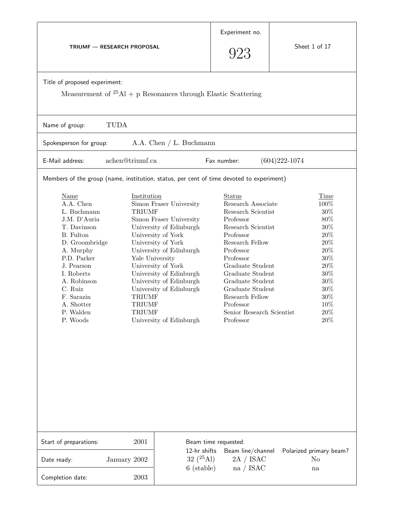| <b>TRIUMF - RESEARCH PROPOSAL</b>                                                                                                                                                                                                            |                                                                                                    |                                                                                                                                                                                                                                                                                        | Experiment no.<br>923                                                                                                                                                                                                                                                                                            | Sheet 1 of 17                                                                                                                                             |  |
|----------------------------------------------------------------------------------------------------------------------------------------------------------------------------------------------------------------------------------------------|----------------------------------------------------------------------------------------------------|----------------------------------------------------------------------------------------------------------------------------------------------------------------------------------------------------------------------------------------------------------------------------------------|------------------------------------------------------------------------------------------------------------------------------------------------------------------------------------------------------------------------------------------------------------------------------------------------------------------|-----------------------------------------------------------------------------------------------------------------------------------------------------------|--|
| Title of proposed experiment:<br>Measurement of ${}^{25}\text{Al}$ + p Resonances through Elastic Scattering                                                                                                                                 |                                                                                                    |                                                                                                                                                                                                                                                                                        |                                                                                                                                                                                                                                                                                                                  |                                                                                                                                                           |  |
| <b>TUDA</b><br>Name of group:                                                                                                                                                                                                                |                                                                                                    |                                                                                                                                                                                                                                                                                        |                                                                                                                                                                                                                                                                                                                  |                                                                                                                                                           |  |
| Spokesperson for group:                                                                                                                                                                                                                      |                                                                                                    | A.A. Chen $/L$ . Buchmann                                                                                                                                                                                                                                                              |                                                                                                                                                                                                                                                                                                                  |                                                                                                                                                           |  |
| E-Mail address:                                                                                                                                                                                                                              | achen@triumf.ca                                                                                    |                                                                                                                                                                                                                                                                                        | Fax number:                                                                                                                                                                                                                                                                                                      | $(604)222 - 1074$                                                                                                                                         |  |
| Members of the group (name, institution, status, per cent of time devoted to experiment)                                                                                                                                                     |                                                                                                    |                                                                                                                                                                                                                                                                                        |                                                                                                                                                                                                                                                                                                                  |                                                                                                                                                           |  |
| <b>Name</b><br>A.A. Chen<br>L. Buchmann<br>J.M. D'Auria<br>T. Davinson<br>B. Fulton<br>D. Groombridge<br>A. Murphy<br>P.D. Parker<br>J. Pearson<br>I. Roberts<br>A. Robinson<br>C. Ruiz<br>F. Sarazin<br>A. Shotter<br>P. Walden<br>P. Woods | Institution<br><b>TRIUMF</b><br>Yale University<br><b>TRIUMF</b><br><b>TRIUMF</b><br><b>TRIUMF</b> | Simon Fraser University<br>Simon Fraser University<br>University of Edinburgh<br>University of York<br>University of York<br>University of Edinburgh<br>University of York<br>University of Edinburgh<br>University of Edinburgh<br>University of Edinburgh<br>University of Edinburgh | <b>Status</b><br>Research Associate<br>Research Scientist<br>Professor<br>Research Scientist<br>Professor<br>Research Fellow<br>Professor<br>Professor<br>Graduate Student<br>Graduate Student<br>Graduate Student<br>Graduate Student<br>Research Fellow<br>Professor<br>Senior Research Scientist<br>Professor | Time<br>100%<br>$30\%$<br>80%<br>$30\%$<br>$20\%$<br>$20\%$<br>$20\%$<br>$30\%$<br>$20\%$<br>$30\%$<br>$30\%$<br>$30\%$<br>$30\%$<br>10%<br>$20\%$<br>20% |  |
| Start of preparations:                                                                                                                                                                                                                       | 2001                                                                                               | Beam time requested:<br>12-hr shifts<br>Beam line/channel                                                                                                                                                                                                                              |                                                                                                                                                                                                                                                                                                                  | Polarized primary beam?                                                                                                                                   |  |
| Date ready:                                                                                                                                                                                                                                  | January 2002                                                                                       | 32 $(25 \text{Al})$<br>6 (stable)                                                                                                                                                                                                                                                      | 2A / ISAC<br>na / ISAC                                                                                                                                                                                                                                                                                           | N <sub>o</sub><br>na                                                                                                                                      |  |
| Completion date:                                                                                                                                                                                                                             | 2003                                                                                               |                                                                                                                                                                                                                                                                                        |                                                                                                                                                                                                                                                                                                                  |                                                                                                                                                           |  |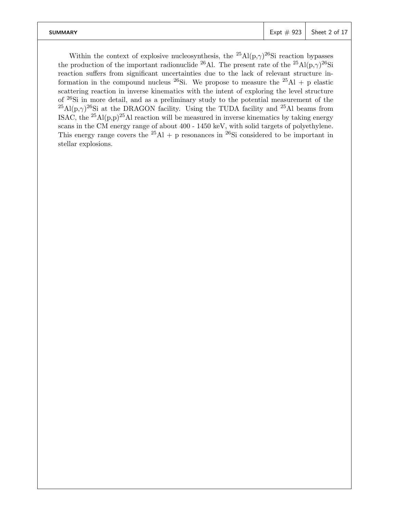| <b>SUMMARY</b> | Expt $\#$ 923 Sheet 2 of 17 |
|----------------|-----------------------------|
|                |                             |

Within the context of explosive nucleosynthesis, the <sup>25</sup>Al(p, $\gamma$ )<sup>26</sup>Si reaction bypasses the production of the important radionuclide <sup>26</sup>Al. The present rate of the <sup>25</sup>Al(p, $\gamma$ )<sup>26</sup>Si reaction suffers from significant uncertainties due to the lack of relevant structure information in the compound nucleus <sup>26</sup>Si. We propose to measure the <sup>25</sup>Al + p elastic scattering reaction in inverse kinematics with the intent of exploring the level structure of <sup>26</sup>Si in more detail, and as a preliminary study to the potential measurement of the <sup>25</sup>Al(p, $\gamma$ )<sup>26</sup>Si at the DRAGON facility. Using the TUDA facility and <sup>25</sup>Al beams from ISAC, the <sup>25</sup>Al(p,p)<sup>25</sup>Al reaction will be measured in inverse kinematics by taking energy scans in the CM energy range of about 400 - 1450 keV, with solid targets of polyethylene. This energy range covers the <sup>25</sup>Al + p resonances in <sup>26</sup>Si considered to be important in stellar explosions.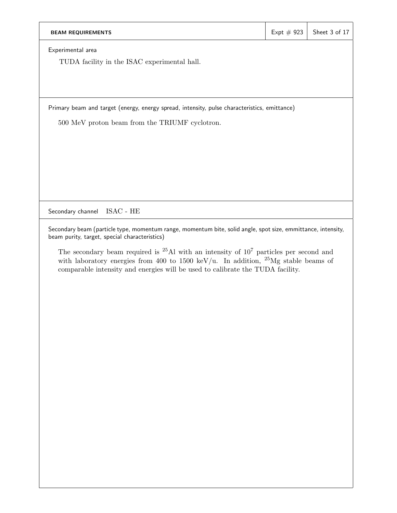| <b>BEAM REQUIREMENTS</b>                                                                     | Expt $# 923$ | Sheet 3 of 17 |  |  |
|----------------------------------------------------------------------------------------------|--------------|---------------|--|--|
| Experimental area                                                                            |              |               |  |  |
| TUDA facility in the ISAC experimental hall.                                                 |              |               |  |  |
|                                                                                              |              |               |  |  |
|                                                                                              |              |               |  |  |
| Primary beam and target (energy, energy spread, intensity, pulse characteristics, emittance) |              |               |  |  |
| 500 MeV proton beam from the TRIUMF cyclotron.                                               |              |               |  |  |
|                                                                                              |              |               |  |  |
|                                                                                              |              |               |  |  |
|                                                                                              |              |               |  |  |
|                                                                                              |              |               |  |  |
|                                                                                              |              |               |  |  |
| ISAC - HE<br>Secondary channel                                                               |              |               |  |  |

Secondary beam (particle type, momentum range, momentum bite, solid angle, spot size, emmittance, intensity, beam purity, target, special characteristics)

The secondary beam required is <sup>25</sup>Al with an intensity of 10<sup>7</sup> particles per second and with laboratory energies from 400 to 1500 keV/u. In addition,  $^{25}Mg$  stable beams of comparable intensity and energies will be used to calibrate the TUDA facility.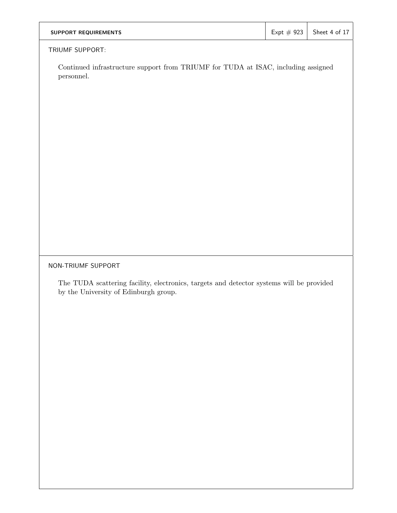| <b>SUPPORT REQUIREMENTS</b> | $\vert$ Expt # 923 Sheet 4 of 17 |
|-----------------------------|----------------------------------|
|                             |                                  |

## TRIUMF SUPPORT:

Continued infrastructure support from TRIUMF for TUDA at ISAC, including assigned personnel.

# NON-TRIUMF SUPPORT

The TUDA scattering facility, electronics, targets and detector systems will be provided by the University of Edinburgh group.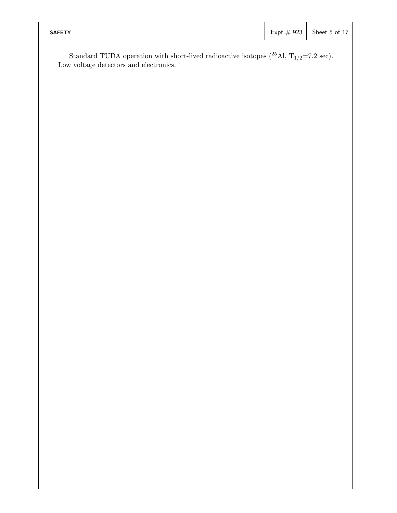| <b>SAFETY</b> |  | Expt $\#$ 923 Sheet 5 of 17 |
|---------------|--|-----------------------------|
|               |  |                             |

Standard TUDA operation with short-lived radioactive isotopes  $(^{25}$ Al, T<sub>1/2</sub>=7.2 sec).<br>Low voltage detectors and electronics.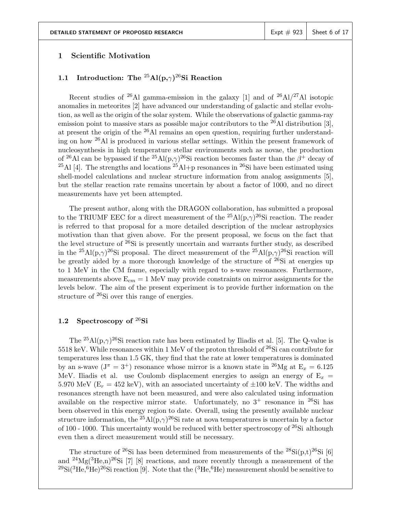### **1 Scientific Motivation**

# **1.1 Introduction: The** <sup>25</sup>**Al(p,**γ**)**26**Si Reaction**

Recent studies of <sup>26</sup>Al gamma-emission in the galaxy [1] and of <sup>26</sup>Al/<sup>27</sup>Al isotopic anomalies in meteorites [2] have advanced our understanding of galactic and stellar evolution, as well as the origin of the solar system. While the observations of galactic gamma-ray emission point to massive stars as possible major contributors to the  $^{26}$ Al distribution [3], at present the origin of the  $^{26}$ Al remains an open question, requiring further understanding on how <sup>26</sup>Al is produced in various stellar settings. Within the present framework of nucleosynthesis in high temperature stellar environments such as novae, the production of <sup>26</sup>Al can be bypassed if the <sup>25</sup>Al(p, $\gamma$ )<sup>26</sup>Si reaction becomes faster than the  $\beta^+$  decay of <sup>25</sup>Al [4]. The strengths and locations <sup>25</sup>Al+p resonances in <sup>26</sup>Si have been estimated using shell-model calculations and nuclear structure information from analog assignments [5], but the stellar reaction rate remains uncertain by about a factor of 1000, and no direct measurements have yet been attempted.

The present author, along with the DRAGON collaboration, has submitted a proposal to the TRIUMF EEC for a direct measurement of the  ${}^{25}\text{Al}(\text{p},\gamma){}^{26}\text{Si}$  reaction. The reader is referred to that proposal for a more detailed description of the nuclear astrophysics motivation than that given above. For the present proposal, we focus on the fact that the level structure of  $26Si$  is presently uncertain and warrants further study, as described in the <sup>25</sup>Al(p, $\gamma$ )<sup>26</sup>Si proposal. The direct measurement of the <sup>25</sup>Al(p, $\gamma$ )<sup>26</sup>Si reaction will be greatly aided by a more thorough knowledge of the structure of  $^{26}Si$  at energies up to 1 MeV in the CM frame, especially with regard to s-wave resonances. Furthermore, measurements above  $E_{cm} = 1$  MeV may provide constraints on mirror assignments for the levels below. The aim of the present experiment is to provide further information on the structure of  $^{26}$ Si over this range of energies.

# **1.2 Spectroscopy of** 26**Si**

The <sup>25</sup>Al(p, $\gamma$ )<sup>26</sup>Si reaction rate has been estimated by Iliadis et al. [5]. The Q-value is 5518 keV. While resonances within 1 MeV of the proton threshold of  $^{26}Si$  can contribute for temperatures less than 1.5 GK, they find that the rate at lower temperatures is dominated by an s-wave  $(J^{\pi} = 3^+)$  resonance whose mirror is a known state in <sup>26</sup>Mg at  $E_x = 6.125$ MeV. Iliadis et al. use Coulomb displacement energies to assign an energy of  $E_x$  = 5.970 MeV ( $E_r = 452$  keV), with an associated uncertainty of  $\pm 100$  keV. The widths and resonances strength have not been measured, and were also calculated using information available on the respective mirror state. Unfortunately, no  $3^+$  resonance in <sup>26</sup>Si has been observed in this energy region to date. Overall, using the presently available nuclear structure information, the <sup>25</sup>Al(p, $\gamma$ )<sup>26</sup>Si rate at nova temperatures is uncertain by a factor of 100 - 1000. This uncertainty would be reduced with better spectroscopy of  $26Si$  although even then a direct measurement would still be necessary.

The structure of <sup>26</sup>Si has been determined from measurements of the <sup>28</sup>Si(p,t)<sup>26</sup>Si [6] and  $^{24}Mg(^{3}He,n)^{26}Si$  [7] [8] reactions, and more recently through a measurement of the  $^{29}Si(^{3}He,^{6}He)^{26}Si$  reaction [9]. Note that the  $(^{3}He,^{6}He)$  measurement should be sensitive to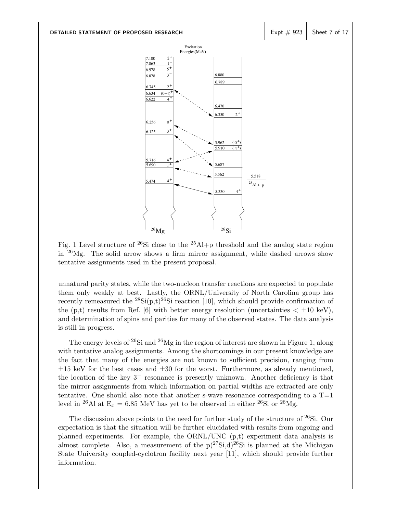

Fig. 1 Level structure of  $^{26}Si$  close to the  $^{25}Al+p$  threshold and the analog state region in  $^{26}Mg$ . The solid arrow shows a firm mirror assignment, while dashed arrows show tentative assignments used in the present proposal.

unnatural parity states, while the two-nucleon transfer reactions are expected to populate them only weakly at best. Lastly, the ORNL/University of North Carolina group has recently remeasured the  ${}^{28}Si(p,t){}^{26}Si$  reaction [10], which should provide confirmation of the (p,t) results from Ref. [6] with better energy resolution (uncertainties  $\langle \pm 10 \text{ keV} \rangle$ , and determination of spins and parities for many of the observed states. The data analysis is still in progress.

The energy levels of  $26Si$  and  $26Mg$  in the region of interest are shown in Figure 1, along with tentative analog assignments. Among the shortcomings in our present knowledge are the fact that many of the energies are not known to sufficient precision, ranging from  $\pm 15$  keV for the best cases and  $\pm 30$  for the worst. Furthermore, as already mentioned, the location of the key  $3^+$  resonance is presently unknown. Another deficiency is that the mirror assignments from which information on partial widths are extracted are only tentative. One should also note that another s-wave resonance corresponding to a  $T=1$ level in <sup>26</sup>Al at  $E_x = 6.85$  MeV has yet to be observed in either <sup>26</sup>Si or <sup>26</sup>Mg.

The discussion above points to the need for further study of the structure of  $^{26}$ Si. Our expectation is that the situation will be further elucidated with results from ongoing and planned experiments. For example, the ORNL/UNC (p,t) experiment data analysis is almost complete. Also, a measurement of the  $p(^{27}Si,d)^{26}Si$  is planned at the Michigan State University coupled-cyclotron facility next year [11], which should provide further information.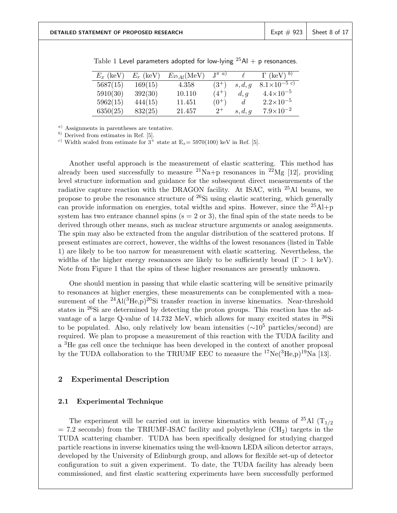| $E_x$ (keV) | $E_r$ (keV) | $E_{^{25}Al}(\text{MeV})$ | $\mathbb{T}^{\pi}$ a) |                | $\Gamma$ (keV) $^{b)}$ |
|-------------|-------------|---------------------------|-----------------------|----------------|------------------------|
| 5687(15)    | 169(15)     | 4.358                     | $(3^{+})$             | s, d, g        | $8.1\times10^{-5}$ c)  |
| 5910(30)    | 392(30)     | 10.110                    | $(4^{+})$             | d, g           | $4.4\times10^{-5}$     |
| 5962(15)    | 444(15)     | 11.451                    | $(0^{+})$             | $\overline{d}$ | $2.2\times10^{-5}$     |
| 6350(25)    | 832(25)     | 21.457                    | $2^+$                 | s, d, g        | $7.9\times10^{-2}$     |

Table 1 Level parameters adopted for low-lying  $^{25}$ Al + p resonances.

*<sup>a</sup>*) Assignments in parentheses are tentative.

*<sup>b</sup>*) Derived from estimates in Ref. [5].

<sup>*c*</sup>) Width scaled from estimate for  $3^+$  state at  $E_x = 5970(100)$  keV in Ref. [5].

Another useful approach is the measurement of elastic scattering. This method has already been used successfully to measure  $^{21}\text{Na}+p$  resonances in  $^{22}\text{Mg}$  [12], providing level structure information and guidance for the subsequent direct measurements of the radiative capture reaction with the DRAGON facility. At ISAC, with  $^{25}$ Al beams, we propose to probe the resonance structure of <sup>26</sup>Si using elastic scattering, which generally can provide information on energies, total widths and spins. However, since the  $^{25}$ Al+p system has two entrance channel spins  $(s = 2 \text{ or } 3)$ , the final spin of the state needs to be derived through other means, such as nuclear structure arguments or analog assignments. The spin may also be extracted from the angular distribution of the scattered protons. If present estimates are correct, however, the widths of the lowest resonances (listed in Table 1) are likely to be too narrow for measurement with elastic scattering. Nevertheless, the widths of the higher energy resonances are likely to be sufficiently broad  $(\Gamma > 1 \text{ keV})$ . Note from Figure 1 that the spins of these higher resonances are presently unknown.

One should mention in passing that while elastic scattering will be sensitive primarily to resonances at higher energies, these measurements can be complemented with a measurement of the  $^{24}$ Al( $^{3}$ He,p)<sup>26</sup>Si transfer reaction in inverse kinematics. Near-threshold states in <sup>26</sup>Si are determined by detecting the proton groups. This reaction has the advantage of a large Q-value of 14.732 MeV, which allows for many excited states in  $^{26}Si$ to be populated. Also, only relatively low beam intensities ( $\sim 10^5$  particles/second) are required. We plan to propose a measurement of this reaction with the TUDA facility and a <sup>3</sup>He gas cell once the technique has been developed in the context of another proposal by the TUDA collaboration to the TRIUMF EEC to measure the  ${}^{17}Ne({}^{3}He,p){}^{19}Na$  [13].

### **2 Experimental Description**

### **2.1 Experimental Technique**

The experiment will be carried out in inverse kinematics with beams of  $^{25}$ Al (T<sub>1/2</sub>)  $= 7.2$  seconds) from the TRIUMF-ISAC facility and polyethylene (CH<sub>2</sub>) targets in the TUDA scattering chamber. TUDA has been specifically designed for studying charged particle reactions in inverse kinematics using the well-known LEDA silicon detector arrays, developed by the University of Edinburgh group, and allows for flexible set-up of detector configuration to suit a given experiment. To date, the TUDA facility has already been commissioned, and first elastic scattering experiments have been successfully performed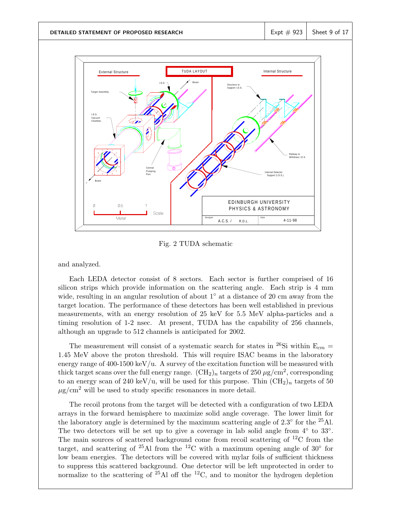

Fig. 2 TUDA schematic

and analyzed.

Each LEDA detector consist of 8 sectors. Each sector is further comprised of 16 silicon strips which provide information on the scattering angle. Each strip is 4 mm wide, resulting in an angular resolution of about  $1°$  at a distance of 20 cm away from the target location. The performance of these detectors has been well established in previous measurements, with an energy resolution of 25 keV for 5.5 MeV alpha-particles and a timing resolution of 1-2 nsec. At present, TUDA has the capability of 256 channels, although an upgrade to 512 channels is anticipated for 2002.

The measurement will consist of a systematic search for states in <sup>26</sup>Si within  $E_{cm}$  = 1.45 MeV above the proton threshold. This will require ISAC beams in the laboratory energy range of  $400-1500 \,\mathrm{keV/u}$ . A survey of the excitation function will be measured with thick target scans over the full energy range.  $(CH_2)_n$  targets of 250  $\mu$ g/cm<sup>2</sup>, corresponding to an energy scan of 240 keV/u, will be used for this purpose. Thin  $(\text{CH}_2)_n$  targets of 50  $\mu$ g/cm<sup>2</sup> will be used to study specific resonances in more detail.

The recoil protons from the target will be detected with a configuration of two LEDA arrays in the forward hemisphere to maximize solid angle coverage. The lower limit for the laboratory angle is determined by the maximum scattering angle of  $2.3^\circ$  for the  $^{25}$ Al. The two detectors will be set up to give a coverage in lab solid angle from  $4°$  to  $33°$ . The main sources of scattered background come from recoil scattering of  ${}^{12}C$  from the target, and scattering of <sup>25</sup>Al from the <sup>12</sup>C with a maximum opening angle of 30<sup>°</sup> for low beam energies. The detectors will be covered with mylar foils of sufficient thickness to suppress this scattered background. One detector will be left unprotected in order to normalize to the scattering of  $25$ Al off the  $12$ C, and to monitor the hydrogen depletion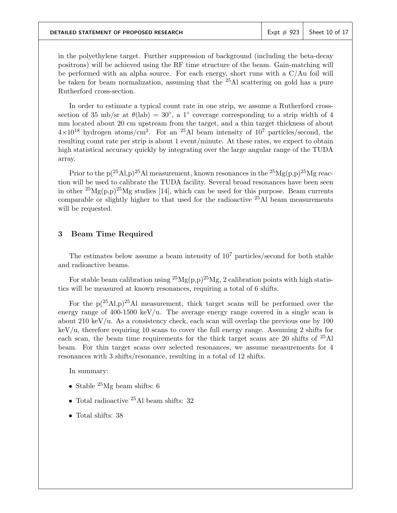in the polyethylene target. Further suppression of background (including the beta-decay positrons) will be achieved using the RF time structure of the beam. Gain-matching will be performed with an alpha source. For each energy, short runs with a C/Au foil will be taken for beam normalization, assuming that the <sup>25</sup>Al scattering on gold has a pure Rutherford cross-section.

In order to estimate a typical count rate in one strip, we assume a Rutherford crosssection of 35 mb/sr at  $\theta$ (lab) = 30°, a 1° coverage corresponding to a strip width of 4 mm located about 20 cm upstream from the target, and a thin target thickness of about  $4\times10^{18}$  hydrogen atoms/cm<sup>2</sup>. For an <sup>25</sup>Al beam intensity of  $10^7$  particles/second, the resulting count rate per strip is about 1 event/minute. At these rates, we expect to obtain high statistical accuracy quickly by integrating over the large angular range of the TUDA array.

Prior to the  $p(^{25}Al, p)^{25}Al$  measurement, known resonances in the  $^{25}Mg(p,p)^{25}Mg$  reaction will be used to calibrate the TUDA facility. Several broad resonances have been seen in other  ${}^{25}Mg(p,p){}^{25}Mg$  studies [14], which can be used for this purpose. Beam currents comparable or slightly higher to that used for the radioactive  $25$ Al beam measurements will be requested.

## **3 Beam Time Required**

The estimates below assume a beam intensity of  $10<sup>7</sup>$  particles/second for both stable and radioactive beams.

For stable beam calibration using  ${}^{25}Mg(p,p){}^{25}Mg$ , 2 calibration points with high statistics will be measured at known resonances, requiring a total of 6 shifts.

For the  $p(^{25}Al, p)^{25}Al$  measurement, thick target scans will be performed over the energy range of 400-1500 keV/u. The average energy range covered in a single scan is about  $210 \text{ keV/u}$ . As a consistency check, each scan will overlap the previous one by 100 keV/u, therefore requiring 10 scans to cover the full energy range. Assuming 2 shifts for each scan, the beam time requirements for the thick target scans are 20 shifts of <sup>25</sup>Al beam. For thin target scans over selected resonances, we assume measurements for 4 resonances with 3 shifts/resonance, resulting in a total of 12 shifts.

In summary:

- Stable  $^{25}Mg$  beam shifts: 6
- Total radioactive  $25$ Al beam shifts: 32
- Total shifts: 38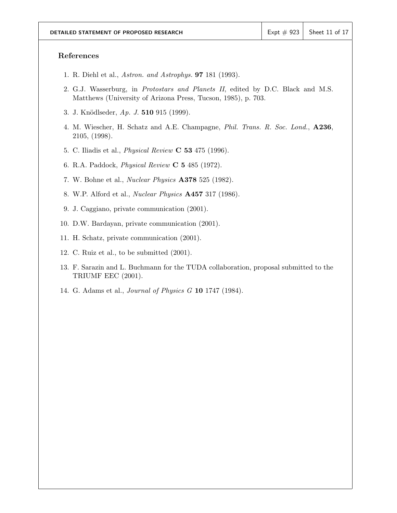## **References**

- 1. R. Diehl et al., *Astron. and Astrophys.* **97** 181 (1993).
- 2. G.J. Wasserburg, in *Protostars and Planets II*, edited by D.C. Black and M.S. Matthews (University of Arizona Press, Tucson, 1985), p. 703.
- 3. J. Kn¨odlseder, *Ap. J.* **510** 915 (1999).
- 4. M. Wiescher, H. Schatz and A.E. Champagne, *Phil. Trans. R. Soc. Lond.*, **A236**, 2105, (1998).
- 5. C. Iliadis et al., *Physical Review* **C 53** 475 (1996).
- 6. R.A. Paddock, *Physical Review* **C 5** 485 (1972).
- 7. W. Bohne et al., *Nuclear Physics* **A378** 525 (1982).
- 8. W.P. Alford et al., *Nuclear Physics* **A457** 317 (1986).
- 9. J. Caggiano, private communication (2001).
- 10. D.W. Bardayan, private communication (2001).
- 11. H. Schatz, private communication (2001).
- 12. C. Ruiz et al., to be submitted (2001).
- 13. F. Sarazin and L. Buchmann for the TUDA collaboration, proposal submitted to the TRIUMF EEC (2001).
- 14. G. Adams et al., *Journal of Physics G* **10** 1747 (1984).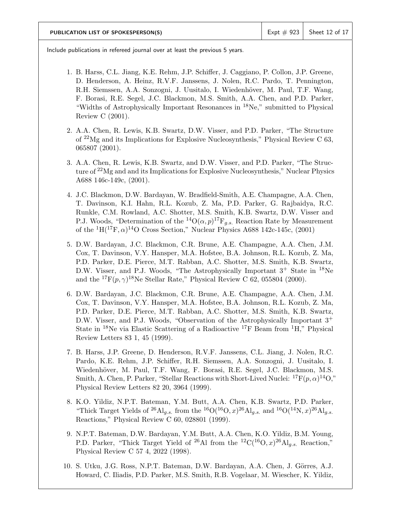Include publications in refereed journal over at least the previous 5 years.

- 1. B. Harss, C.L. Jiang, K.E. Rehm, J.P. Schiffer, J. Caggiano, P. Collon, J.P. Greene, D. Henderson, A. Heinz, R.V.F. Janssens, J. Nolen, R.C. Pardo, T. Pennington, R.H. Siemssen, A.A. Sonzogni, J. Uusitalo, I. Wiedenhöver, M. Paul, T.F. Wang, F. Borasi, R.E. Segel, J.C. Blackmon, M.S. Smith, A.A. Chen, and P.D. Parker, "Widths of Astrophysically Important Resonances in <sup>18</sup>Ne," submitted to Physical Review C (2001).
- 2. A.A. Chen, R. Lewis, K.B. Swartz, D.W. Visser, and P.D. Parker, "The Structure of  $^{22}Mg$  and its Implications for Explosive Nucleosynthesis," Physical Review C 63, 065807 (2001).
- 3. A.A. Chen, R. Lewis, K.B. Swartz, and D.W. Visser, and P.D. Parker, "The Structure of <sup>22</sup>Mg and and its Implications for Explosive Nucleosynthesis," Nuclear Physics A688 146c-149c, (2001).
- 4. J.C. Blackmon, D.W. Bardayan, W. Bradfield-Smith, A.E. Champagne, A.A. Chen, T. Davinson, K.I. Hahn, R.L. Kozub, Z. Ma, P.D. Parker, G. Rajbaidya, R.C. Runkle, C.M. Rowland, A.C. Shotter, M.S. Smith, K.B. Swartz, D.W. Visser and P.J. Woods, "Determination of the <sup>14</sup>O( $\alpha$ ,  $p$ )<sup>17</sup>F<sub>a.s.</sub> Reaction Rate by Measurement of the  ${}^{1}H({}^{17}F, \alpha) {}^{14}O$  Cross Section," Nuclear Physics A688 142c-145c, (2001)
- 5. D.W. Bardayan, J.C. Blackmon, C.R. Brune, A.E. Champagne, A.A. Chen, J.M. Cox, T. Davinson, V.Y. Hansper, M.A. Hofstee, B.A. Johnson, R.L. Kozub, Z. Ma, P.D. Parker, D.E. Pierce, M.T. Rabban, A.C. Shotter, M.S. Smith, K.B. Swartz, D.W. Visser, and P.J. Woods, "The Astrophysically Important  $3^+$  State in  $^{18}$ Ne and the  ${}^{17}F(p,\gamma){}^{18}Ne$  Stellar Rate," Physical Review C 62, 055804 (2000).
- 6. D.W. Bardayan, J.C. Blackmon, C.R. Brune, A.E. Champagne, A.A. Chen, J.M. Cox, T. Davinson, V.Y. Hansper, M.A. Hofstee, B.A. Johnson, R.L. Kozub, Z. Ma, P.D. Parker, D.E. Pierce, M.T. Rabban, A.C. Shotter, M.S. Smith, K.B. Swartz, D.W. Visser, and P.J. Woods, "Observation of the Astrophysically Important 3<sup>+</sup> State in <sup>18</sup>Ne via Elastic Scattering of a Radioactive <sup>17</sup>F Beam from <sup>1</sup>H," Physical Review Letters 83 1, 45 (1999).
- 7. B. Harss, J.P. Greene, D. Henderson, R.V.F. Janssens, C.L. Jiang, J. Nolen, R.C. Pardo, K.E. Rehm, J.P. Schiffer, R.H. Siemssen, A.A. Sonzogni, J. Uusitalo, I. Wiedenhöver, M. Paul, T.F. Wang, F. Borasi, R.E. Segel, J.C. Blackmon, M.S. Smith, A. Chen, P. Parker, "Stellar Reactions with Short-Lived Nuclei:  ${}^{17}F(p,\alpha){}^{14}O,$ " Physical Review Letters 82 20, 3964 (1999).
- 8. K.O. Yildiz, N.P.T. Bateman, Y.M. Butt, A.A. Chen, K.B. Swartz, P.D. Parker, "Thick Target Yields of <sup>26</sup>Al<sub>g.s.</sub> from the <sup>16</sup>O(<sup>16</sup>O, x)<sup>26</sup>Al<sub>g.s.</sub> and <sup>16</sup>O(<sup>14</sup>N, x)<sup>26</sup>Al<sub>g.s.</sub> Reactions," Physical Review C 60, 028801 (1999).
- 9. N.P.T. Bateman, D.W. Bardayan, Y.M. Butt, A.A. Chen, K.O. Yildiz, B.M. Young, P.D. Parker, "Thick Target Yield of <sup>26</sup>Al from the <sup>12</sup>C(<sup>16</sup>O, x)<sup>26</sup>Al<sub>g</sub>, Reaction," Physical Review C 57 4, 2022 (1998).
- 10. S. Utku, J.G. Ross, N.P.T. Bateman, D.W. Bardayan, A.A. Chen, J. Görres, A.J. Howard, C. Iliadis, P.D. Parker, M.S. Smith, R.B. Vogelaar, M. Wiescher, K. Yildiz,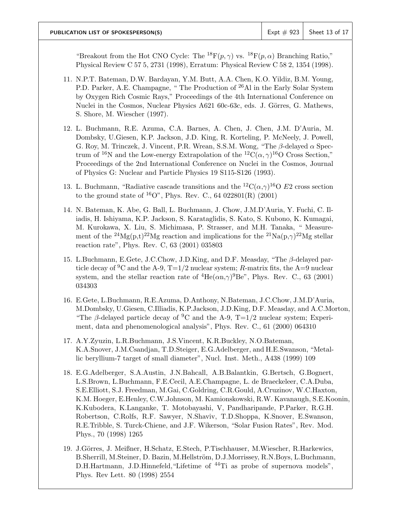"Breakout from the Hot CNO Cycle: The <sup>18</sup>F(p,  $\gamma$ ) vs. <sup>18</sup>F(p,  $\alpha$ ) Branching Ratio," Physical Review C 57 5, 2731 (1998), Erratum: Physical Review C 58 2, 1354 (1998).

- 11. N.P.T. Bateman, D.W. Bardayan, Y.M. Butt, A.A. Chen, K.O. Yildiz, B.M. Young, P.D. Parker, A.E. Champagne, " The Production of <sup>26</sup>Al in the Early Solar System by Oxygen Rich Cosmic Rays," Proceedings of the 4th International Conference on Nuclei in the Cosmos, Nuclear Physics A621 60c-63c, eds. J. Görres, G. Mathews, S. Shore, M. Wiescher (1997).
- 12. L. Buchmann, R.E. Azuma, C.A. Barnes, A. Chen, J. Chen, J.M. D'Auria, M. Dombsky, U.Giesen, K.P. Jackson, J.D. King, R. Korteling, P. McNeely, J. Powell, G. Roy, M. Trinczek, J. Vincent, P.R. Wrean, S.S.M. Wong, "The  $\beta$ -delayed  $\alpha$  Spectrum of <sup>16</sup>N and the Low-energy Extrapolation of the <sup>12</sup>C( $\alpha$ ,  $\gamma$ )<sup>16</sup>O Cross Section," Proceedings of the 2nd International Conference on Nuclei in the Cosmos, Journal of Physics G: Nuclear and Particle Physics 19 S115-S126 (1993).
- 13. L. Buchmann, "Radiative cascade transitions and the  ${}^{12}C(\alpha,\gamma){}^{16}O$  E2 cross section to the ground state of  $^{16}O^{\prime\prime}$ , Phys. Rev. C., 64 022801(R) (2001)
- 14. N. Bateman, K. Abe, G. Ball, L. Buchmann, J. Chow, J.M.D'Auria, Y. Fuchi, C. Iliadis, H. Ishiyama, K.P. Jackson, S. Karataglidis, S. Kato, S. Kubono, K. Kumagai, M. Kurokawa, X. Liu, S. Michimasa, P. Strasser, and M.H. Tanaka, " Measurement of the <sup>24</sup>Mg(p,t)<sup>22</sup>Mg reaction and implications for the <sup>21</sup>Na(p, $\gamma$ )<sup>22</sup>Mg stellar reaction rate", Phys. Rev. C, 63 (2001) 035803
- 15. L.Buchmann, E.Gete, J.C.Chow, J.D.King, and D.F. Measday, "The β-delayed particle decay of <sup>9</sup>C and the A-9,  $T=1/2$  nuclear system; R-matrix fits, the A=9 nuclear system, and the stellar reaction rate of  ${}^{4}$ He( $\alpha$ n, $\gamma$ )<sup>9</sup>Be", Phys. Rev. C., 63 (2001) 034303
- 16. E.Gete, L.Buchmann, R.E.Azuma, D.Anthony, N.Bateman, J.C.Chow, J.M.D'Auria, M.Dombsky, U.Giesen, C.Illiadis, K.P.Jackson, J.D.King, D.F. Measday, and A.C.Morton, "The β-delayed particle decay of <sup>9</sup>C and the A-9, T=1/2 nuclear system; Experiment, data and phenomenological analysis", Phys. Rev. C., 61 (2000) 064310
- 17. A.Y.Zyuzin, L.R.Buchmann, J.S.Vincent, K.R.Buckley, N.O.Bateman, K.A.Snover, J.M.Csandjan, T.D.Steiger, E.G.Adelberger, and H.E.Swanson, "Metallic beryllium-7 target of small diameter", Nucl. Inst. Meth., A438 (1999) 109
- 18. E.G.Adelberger, S.A.Austin, J.N.Bahcall, A.B.Balantkin, G.Bertsch, G.Bognert, L.S.Brown, L.Buchmann, F.E.Cecil, A.E.Champagne, L. de Braeckeleer, C.A.Duba, S.E.Elliott, S.J. Freedman, M.Gai, C.Goldring, C.R.Gould, A.Cruzinov, W.C.Haxton, K.M. Hoeger, E.Henley, C.W.Johnson, M. Kamionskowski, R.W. Kavanaugh, S.E.Koonin, K.Kubodera, K.Langanke, T. Motobayashi, V, Pandharipande, P.Parker, R.G.H. Robertson, C.Rolfs, R.F. Sawyer, N.Shaviv, T.D.Shoppa, K.Snover, E.Swanson, R.E.Tribble, S. Turck-Chiene, and J.F. Wikerson, "Solar Fusion Rates", Rev. Mod. Phys., 70 (1998) 1265
- 19. J.Görres, J. Meißner, H.Schatz, E.Stech, P.Tischhauser, M.Wiescher, R.Harkewics, B.Sherrill, M.Steiner, D. Bazin, M.Hellström, D.J.Morrissey, R.N.Boys, L.Buchmann, D.H.Hartmann, J.D.Hinnefeld, "Lifetime of <sup>44</sup>Ti as probe of supernova models", Phys. Rev Lett. 80 (1998) 2554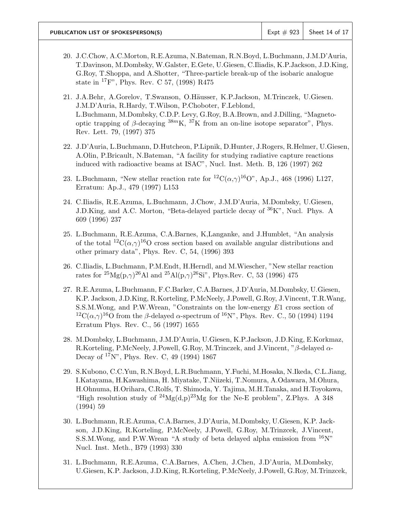- 20. J.C.Chow, A.C.Morton, R.E.Azuma, N.Bateman, R.N.Boyd, L.Buchmann, J.M.D'Auria, T.Davinson, M.Dombsky, W.Galster, E.Gete, U.Giesen, C.Iliadis, K.P.Jackson, J.D.King, G.Roy, T.Shoppa, and A.Shotter, "Three-particle break-up of the isobaric analogue state in <sup>17</sup>F", Phys. Rev. C 57, (1998) R475
- 21. J.A.Behr, A.Gorelov, T.Swanson, O.Häusser, K.P.Jackson, M.Trinczek, U.Giesen. J.M.D'Auria, R.Hardy, T.Wilson, P.Choboter, F.Leblond, L.Buchmann, M.Dombsky, C.D.P. Levy, G.Roy, B.A.Brown, and J.Dilling, "Magnetooptic trapping of β-decaying  $38mK$ ,  $37K$  from an on-line isotope separator". Phys. Rev. Lett. 79, (1997) 375
- 22. J.D'Auria, L.Buchmann, D.Hutcheon, P.Lipnik, D.Hunter, J.Rogers, R.Helmer, U.Giesen, A.Olin, P.Bricault, N.Bateman, "A facility for studying radiative capture reactions induced with radioactive beams at ISAC", Nucl. Inst. Meth. B, 126 (1997) 262
- 23. L.Buchmann, "New stellar reaction rate for  ${}^{12}C(\alpha,\gamma){}^{16}O$ ", Ap.J., 468 (1996) L127, Erratum: Ap.J., 479 (1997) L153
- 24. C.Iliadis, R.E.Azuma, L.Buchmann, J.Chow, J.M.D'Auria, M.Dombsky, U.Giesen, J.D.King, and A.C. Morton, "Beta-delayed particle decay of <sup>36</sup>K", Nucl. Phys. A 609 (1996) 237
- 25. L.Buchmann, R.E.Azuma, C.A.Barnes, K,Langanke, and J.Humblet, "An analysis of the total  ${}^{12}C(\alpha,\gamma){}^{16}O$  cross section based on available angular distributions and other primary data", Phys. Rev. C, 54, (1996) 393
- 26. C.Iliadis, L.Buchmann, P.M.Endt, H.Herndl, and M.Wiescher, "New stellar reaction rates for  ${}^{25}Mg(p,\gamma){}^{26}Al$  and  ${}^{25}Al(p,\gamma){}^{26}Si$ ", Phys.Rev. C, 53 (1996) 475
- 27. R.E.Azuma, L.Buchmann, F.C.Barker, C.A.Barnes, J.D'Auria, M.Dombsky, U.Giesen, K.P. Jackson, J.D.King, R.Korteling, P.McNeely, J.Powell, G.Roy, J.Vincent, T.R.Wang, S.S.M.Wong, and P.W.Wrean, "Constraints on the low-energy E1 cross section of <sup>12</sup>C( $\alpha$ , $\gamma$ )<sup>16</sup>O from the β-delayed  $\alpha$ -spectrum of <sup>16</sup>N", Phys. Rev. C., 50 (1994) 1194 Erratum Phys. Rev. C., 56 (1997) 1655
- 28. M.Dombsky, L.Buchmann, J.M.D'Auria, U.Giesen, K.P.Jackson, J.D.King, E.Korkmaz, R.Korteling, P.McNeely, J.Powell, G.Roy, M.Trinczek, and J.Vincent, "β-delayed α-Decay of <sup>17</sup>N", Phys. Rev. C, 49 (1994) 1867
- 29. S.Kubono, C.C.Yun, R.N.Boyd, L.R.Buchmann, Y.Fuchi, M.Hosaka, N.Ikeda, C.L.Jiang, I.Katayama, H.Kawashima, H. Miyatake, T.Niizeki, T.Nomura, A.Odawara, M.Ohura, H.Ohnuma, H.Orihara, C.Rolfs, T. Shimoda, Y. Tajima, M.H.Tanaka, and H.Toyokawa, "High resolution study of  $^{24}Mg(d,p)^{23}Mg$  for the Ne-E problem", Z.Phys. A 348 (1994) 59
- 30. L.Buchmann, R.E.Azuma, C.A.Barnes, J.D'Auria, M.Dombsky, U.Giesen, K.P. Jackson, J.D.King, R.Korteling, P.McNeely, J.Powell, G.Roy, M.Trinzcek, J.Vincent, S.S.M.Wong, and P.W.Wrean "A study of beta delayed alpha emission from <sup>16</sup>N" Nucl. Inst. Meth., B79 (1993) 330
- 31. L.Buchmann, R.E.Azuma, C.A.Barnes, A.Chen, J.Chen, J.D'Auria, M.Dombsky, U.Giesen, K.P. Jackson, J.D.King, R.Korteling, P.McNeely, J.Powell, G.Roy, M.Trinzcek,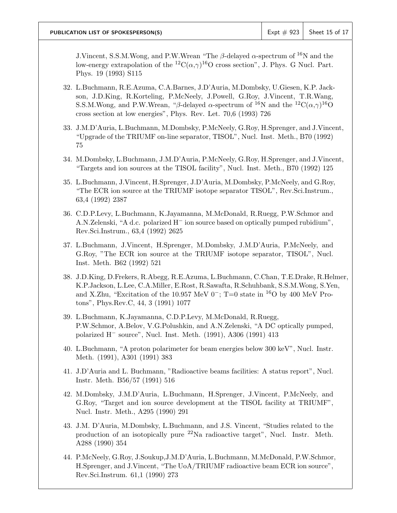**PUBLICATION LIST OF SPOKESPERSON(S)** Expt # 923 Sheet 15 of 17

J.Vincent, S.S.M.Wong, and P.W.Wrean "The  $\beta$ -delayed  $\alpha$ -spectrum of <sup>16</sup>N and the low-energy extrapolation of the <sup>12</sup>C( $\alpha$ , $\gamma$ )<sup>16</sup>O cross section", J. Phys. G Nucl. Part. Phys. 19 (1993) S115

- 32. L.Buchmann, R.E.Azuma, C.A.Barnes, J.D'Auria, M.Dombsky, U.Giesen, K.P. Jackson, J.D.King, R.Korteling, P.McNeely, J.Powell, G.Roy, J.Vincent, T.R.Wang, S.S.M.Wong, and P.W.Wrean, "β-delayed  $\alpha$ -spectrum of <sup>16</sup>N and the <sup>12</sup>C( $\alpha$ , $\gamma$ )<sup>16</sup>O cross section at low energies", Phys. Rev. Let. 70,6 (1993) 726
- 33. J.M.D'Auria, L.Buchmann, M.Dombsky, P.McNeely, G.Roy, H.Sprenger, and J.Vincent, "Upgrade of the TRIUMF on-line separator, TISOL", Nucl. Inst. Meth., B70 (1992) 75
- 34. M.Dombsky, L.Buchmann, J.M.D'Auria, P.McNeely, G.Roy, H.Sprenger, and J.Vincent, "Targets and ion sources at the TISOL facility", Nucl. Inst. Meth., B70 (1992) 125
- 35. L.Buchmann, J.Vincent, H.Sprenger, J.D'Auria, M.Dombsky, P.McNeely, and G.Roy, "The ECR ion source at the TRIUMF isotope separator TISOL", Rev.Sci.Instrum., 63,4 (1992) 2387
- 36. C.D.P.Levy, L.Buchmann, K.Jayamanna, M.McDonald, R.Ruegg, P.W.Schmor and A.N.Zelenski, "A d.c. polarized H− ion source based on optically pumped rubidium", Rev.Sci.Instrum., 63,4 (1992) 2625
- 37. L.Buchmann, J.Vincent, H.Sprenger, M.Dombsky, J.M.D'Auria, P.McNeely, and G.Roy, "The ECR ion source at the TRIUMF isotope separator, TISOL", Nucl. Inst. Meth. B62 (1992) 521
- 38. J.D.King, D.Frekers, R.Abegg, R.E.Azuma, L.Buchmann, C.Chan, T.E.Drake, R.Helmer, K.P.Jackson, L.Lee, C.A.Miller, E.Rost, R.Sawafta, R.Schuhbank, S.S.M.Wong, S.Yen, and X.Zhu, "Excitation of the 10.957 MeV 0<sup>-</sup>; T=0 state in <sup>16</sup>O by 400 MeV Protons", Phys.Rev.C, 44, 3 (1991) 1077
- 39. L.Buchmann, K.Jayamanna, C.D.P.Levy, M.McDonald, R.Ruegg, P.W.Schmor, A.Belov, V.G.Polushkin, and A.N.Zelenski, "A DC optically pumped, polarized H− source", Nucl. Inst. Meth. (1991), A306 (1991) 413
- 40. L.Buchmann, "A proton polarimeter for beam energies below 300 keV", Nucl. Instr. Meth. (1991), A301 (1991) 383
- 41. J.D'Auria and L. Buchmann, "Radioactive beams facilities: A status report", Nucl. Instr. Meth. B56/57 (1991) 516
- 42. M.Dombsky, J.M.D'Auria, L.Buchmann, H.Sprenger, J.Vincent, P.McNeely, and G.Roy, "Target and ion source development at the TISOL facility at TRIUMF", Nucl. Instr. Meth., A295 (1990) 291
- 43. J.M. D'Auria, M.Dombsky, L.Buchmann, and J.S. Vincent, "Studies related to the production of an isotopically pure <sup>22</sup>Na radioactive target", Nucl. Instr. Meth. A288 (1990) 354
- 44. P.McNeely, G.Roy, J.Soukup,J.M.D'Auria, L.Buchmann, M.McDonald, P.W.Schmor, H.Sprenger, and J.Vincent, "The UoA/TRIUMF radioactive beam ECR ion source", Rev.Sci.Instrum. 61,1 (1990) 273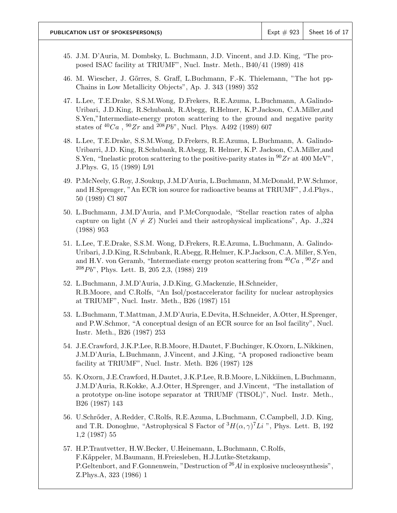- 45. J.M. D'Auria, M. Dombsky, L. Buchmann, J.D. Vincent, and J.D. King, "The proposed ISAC facility at TRIUMF", Nucl. Instr. Meth., B40/41 (1989) 418
- 46. M. Wiescher, J. Gőrres, S. Graff, L.Buchmann, F.-K. Thielemann, "The hot pp-Chains in Low Metallicity Objects", Ap. J. 343 (1989) 352
- 47. L.Lee, T.E.Drake, S.S.M.Wong, D.Frekers, R.E.Azuma, L.Buchmann, A.Galindo-Uribari, J.D.King, R.Schubank, R.Abegg, R.Helmer, K.P.Jackson, C.A.Miller,and S.Yen,"Intermediate-energy proton scattering to the ground and negative parity states of  ${}^{40}Ca$ ,  ${}^{90}Zr$  and  ${}^{208}Pb$ ", Nucl. Phys. A492 (1989) 607
- 48. L.Lee, T.E.Drake, S.S.M.Wong, D.Frekers, R.E.Azuma, L.Buchmann, A. Galindo-Uribarri, J.D. King, R.Schubank, R.Abegg, R. Helmer, K.P. Jackson, C.A.Miller,and S. Yen, "Inelastic proton scattering to the positive-parity states in  $90Zr$  at 400 MeV", J.Phys. G, 15 (1989) L91
- 49. P.McNeely, G.Roy, J.Soukup, J.M.D'Auria, L.Buchmann, M.McDonald, P.W.Schmor, and H.Sprenger, "An ECR ion source for radioactive beams at TRIUMF", J.d.Phys., 50 (1989) Cl 807
- 50. L.Buchmann, J.M.D'Auria, and P.McCorquodale, "Stellar reaction rates of alpha capture on light  $(N \neq Z)$  Nuclei and their astrophysical implications", Ap. J.,324 (1988) 953
- 51. L.Lee, T.E.Drake, S.S.M. Wong, D.Frekers, R.E.Azuma, L.Buchmann, A. Galindo-Uribari, J.D.King, R.Schubank, R.Abegg, R.Helmer, K.P.Jackson, C.A. Miller, S.Yen, and H.V. von Geramb, "Intermediate energy proton scattering from  ${}^{40}Ca$ ,  ${}^{90}Zr$  and  $208Pb$ ", Phys. Lett. B, 205 2,3, (1988) 219
- 52. L.Buchmann, J.M.D'Auria, J.D.King, G.Mackenzie, H.Schneider, R.B.Moore, and C.Rolfs, "An Isol/postaccelerator facility for nuclear astrophysics at TRIUMF", Nucl. Instr. Meth., B26 (1987) 151
- 53. L.Buchmann, T.Mattman, J.M.D'Auria, E.Devita, H.Schneider, A.Otter, H.Sprenger, and P.W.Schmor, "A conceptual design of an ECR source for an Isol facility", Nucl. Instr. Meth., B26 (1987) 253
- 54. J.E.Crawford, J.K.P.Lee, R.B.Moore, H.Dautet, F.Buchinger, K.Oxorn, L.Nikkinen, J.M.D'Auria, L.Buchmann, J.Vincent, and J.King, "A proposed radioactive beam facility at TRIUMF", Nucl. Instr. Meth. B26 (1987) 128
- 55. K.Oxorn, J.E.Crawford, H.Dautet, J.K.P.Lee, R.B.Moore, L.Nikkiinen, L.Buchmann, J.M.D'Auria, R.Kokke, A.J.Otter, H.Sprenger, and J.Vincent, "The installation of a prototype on-line isotope separator at TRIUMF (TISOL)", Nucl. Instr. Meth., B26 (1987) 143
- 56. U.Schrőder, A.Redder, C.Rolfs, R.E.Azuma, L.Buchmann, C.Campbell, J.D. King, and T.R. Donoghue, "Astrophysical S Factor of  ${}^3H(\alpha, \gamma)$ <sup>7</sup>Li", Phys. Lett. B, 192 1,2 (1987) 55
- 57. H.P.Trautvetter, H.W.Becker, U.Heinemann, L.Buchmann, C.Rolfs, F.K˝appeler, M.Baumann, H.Freiesleben, H.J.Lutke-Stetzkamp, P.Geltenbort, and F.Gonnenwein, "Destruction of  $^{26}Al$  in explosive nucleosynthesis", Z.Phys.A, 323 (1986) 1